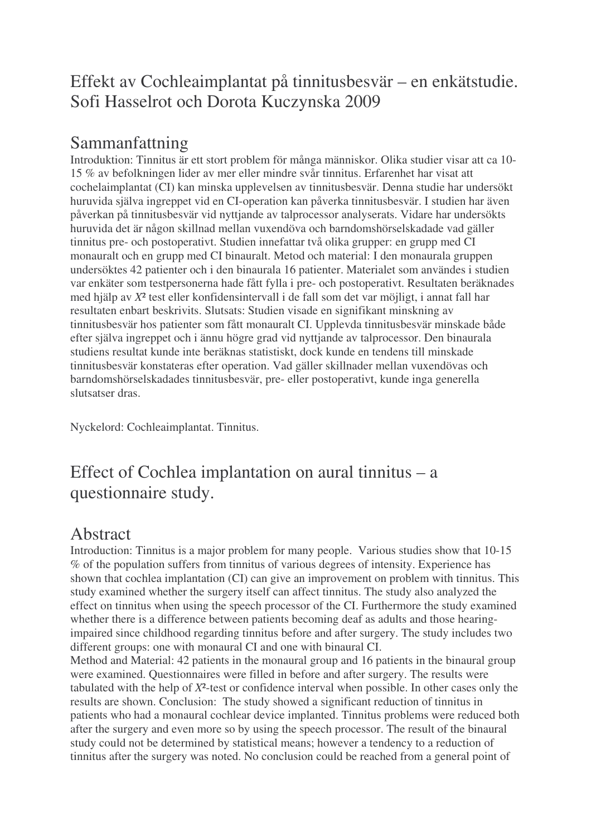## Effekt av Cochleaimplantat på tinnitusbesvär – en enkätstudie. Sofi Hasselrot och Dorota Kuczynska 2009

## Sammanfattning

Introduktion: Tinnitus är ett stort problem för många människor. Olika studier visar att ca 10- 15 % av befolkningen lider av mer eller mindre svår tinnitus. Erfarenhet har visat att cochelaimplantat (CI) kan minska upplevelsen av tinnitusbesvär. Denna studie har undersökt huruvida själva ingreppet vid en CI-operation kan påverka tinnitusbesvär. I studien har även påverkan på tinnitusbesvär vid nyttjande av talprocessor analyserats. Vidare har undersökts huruvida det är någon skillnad mellan vuxendöva och barndomshörselskadade vad gäller tinnitus pre- och postoperativt. Studien innefattar två olika grupper: en grupp med CI monauralt och en grupp med CI binauralt. Metod och material: I den monaurala gruppen undersöktes 42 patienter och i den binaurala 16 patienter. Materialet som användes i studien var enkäter som testpersonerna hade fått fylla i pre- och postoperativt. Resultaten beräknades med hjälp av *X*² test eller konfidensintervall i de fall som det var möjligt, i annat fall har resultaten enbart beskrivits. Slutsats: Studien visade en signifikant minskning av tinnitusbesvär hos patienter som fått monauralt CI. Upplevda tinnitusbesvär minskade både efter själva ingreppet och i ännu högre grad vid nyttjande av talprocessor. Den binaurala studiens resultat kunde inte beräknas statistiskt, dock kunde en tendens till minskade tinnitusbesvär konstateras efter operation. Vad gäller skillnader mellan vuxendövas och barndomshörselskadades tinnitusbesvär, pre- eller postoperativt, kunde inga generella slutsatser dras.

Nyckelord: Cochleaimplantat. Tinnitus.

## Effect of Cochlea implantation on aural tinnitus – a questionnaire study.

## Abstract

Introduction: Tinnitus is a major problem for many people. Various studies show that 10-15 % of the population suffers from tinnitus of various degrees of intensity. Experience has shown that cochlea implantation (CI) can give an improvement on problem with tinnitus. This study examined whether the surgery itself can affect tinnitus. The study also analyzed the effect on tinnitus when using the speech processor of the CI. Furthermore the study examined whether there is a difference between patients becoming deaf as adults and those hearingimpaired since childhood regarding tinnitus before and after surgery. The study includes two different groups: one with monaural CI and one with binaural CI. Method and Material: 42 patients in the monaural group and 16 patients in the binaural group were examined. Questionnaires were filled in before and after surgery. The results were tabulated with the help of *X*²-test or confidence interval when possible. In other cases only the results are shown. Conclusion: The study showed a significant reduction of tinnitus in patients who had a monaural cochlear device implanted. Tinnitus problems were reduced both after the surgery and even more so by using the speech processor. The result of the binaural study could not be determined by statistical means; however a tendency to a reduction of tinnitus after the surgery was noted. No conclusion could be reached from a general point of